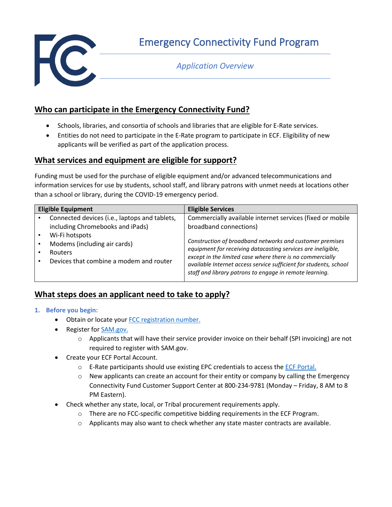

Emergency Connectivity Fund Program

## *Application Overview*

## **Who can participate in the Emergency Connectivity Fund?**

- Schools, libraries, and consortia of schools and libraries that are eligible for E-Rate services.
- Entities do not need to participate in the E-Rate program to participate in ECF. Eligibility of new applicants will be verified as part of the application process.

## **What services and equipment are eligible for support?**

Funding must be used for the purchase of eligible equipment and/or advanced telecommunications and information services for use by students, school staff, and library patrons with unmet needs at locations other than a school or library, during the COVID-19 emergency period.

| <b>Eligible Equipment</b>                                                                     |                                                                                          | <b>Eligible Services</b>                                                                                                                                                                                                                                                                                                                                                                                     |
|-----------------------------------------------------------------------------------------------|------------------------------------------------------------------------------------------|--------------------------------------------------------------------------------------------------------------------------------------------------------------------------------------------------------------------------------------------------------------------------------------------------------------------------------------------------------------------------------------------------------------|
| including Chromebooks and iPads)<br>Wi-Fi hotspots<br>Modems (including air cards)<br>Routers | Connected devices (i.e., laptops and tablets,<br>Devices that combine a modem and router | Commercially available internet services (fixed or mobile<br>broadband connections)<br>Construction of broadband networks and customer premises<br>equipment for receiving datacasting services are ineligible,<br>except in the limited case where there is no commercially<br>available Internet access service sufficient for students, school<br>staff and library patrons to engage in remote learning. |

# **What steps does an applicant need to take to apply?**

- **1. Before you begin:**
	- Obtain or locate your [FCC registration number.](https://www.fcc.gov/licensing-databases/commission-registration-system-fcc)
	- Register for [SAM.gov.](https://sam.gov/content/home)
		- $\circ$  Applicants that will have their service provider invoice on their behalf (SPI invoicing) are not required to register with SAM.gov.
	- Create your ECF Portal Account.
		- $\circ$  E-Rate participants should use existing EPC credentials to access th[e ECF Portal.](https://forms.universalservice.org/portal/login)
		- $\circ$  New applicants can create an account for their entity or company by calling the Emergency Connectivity Fund Customer Support Center at 800-234-9781 (Monday – Friday, 8 AM to 8 PM Eastern).
	- Check whether any state, local, or Tribal procurement requirements apply.
		- $\circ$  There are no FCC-specific competitive bidding requirements in the ECF Program.
		- $\circ$  Applicants may also want to check whether any state master contracts are available.